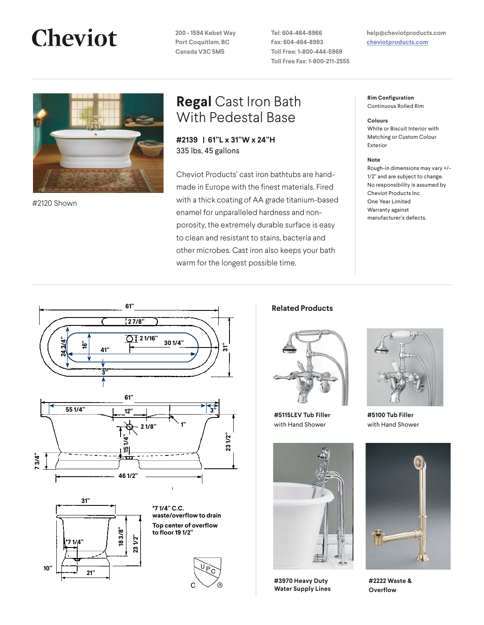**200 - 1594 Kebet Way Port Coquitlam, BC Canada V3C 5M5**

**Tel: 604-464-8966 Fax: 604-464-8993 Toll Free: 1-800-444-5969 Toll Free Fax: 1-800-211-2555**

### **help@cheviotproducts.com [cheviotproducts.com](http://cheviotproducts.com/)**



#2120 Shown

## **Regal** Cast Iron Bath With Pedestal Base

**#2139 | 61"L x 31"W x 24"H**  335 lbs, 45 gallons

Cheviot Products' cast iron bathtubs are handmade in Europe with the finest materials. Fired with a thick coating of AA grade titanium-based enamel for unparalleled hardness and nonporosity, the extremely durable surface is easy to clean and resistant to stains, bacteria and other microbes. Cast iron also keeps your bath warm for the longest possible time.

**Rim Configuration** Continuous Rolled Rim

#### **Colours**

White or Biscuit Interior with Matching or Custom Colour Exterior

### **Note**

Rough-in dimensions may vary +/- 1/2" and are subject to change. No responsibility is assumed by Cheviot Products Inc. One Year Limited Warranty against manufacturer's defects.







**waste/overflow to drain waste/overflow to drain**  $\mathsf{Top}$  center of overflow **to floor 19 1/2" 18 3/8" Trilow to drain** 



### **Related Products**



**#5115LEV Tub Filler**  with Hand Shower



**#3970 Heavy Duty Water Supply Lines**



**#5100 Tub Filler**  with Hand Shower



**#2222 Waste & Overflow**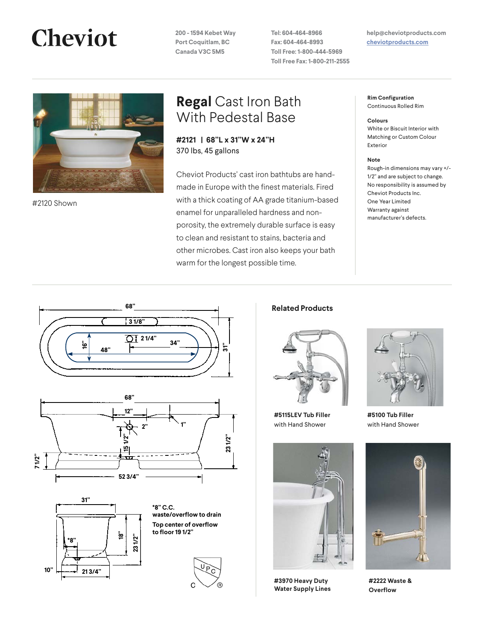**200 - 1594 Kebet Way Port Coquitlam, BC Canada V3C 5M5**

**Tel: 604-464-8966 Fax: 604-464-8993 Toll Free: 1-800-444-5969 Toll Free Fax: 1-800-211-2555**

### **help@cheviotproducts.com [cheviotproducts.com](http://cheviotproducts.com/)**



**Fired with a thick coating of AA grade titanium-Fired with a thick coating of AA grade titanium-**#2120 Shown

## **Regal** Cast Iron Bath With Pedestal Base

**#2121 | 68"L x 31"W x 24"H**  370 lbs, 45 gallons

Cheviot Products' cast iron bathtubs are handmade in Europe with the finest materials. Fired with a thick coating of AA grade titanium-based enamel for unparalleled hardness and nonporosity, the extremely durable surface is easy to clean and resistant to stains, bacteria and other microbes. Cast iron also keeps your bath warm for the longest possible time.

**Rim Configuration** Continuous Rolled Rim

#### **Colours**

White or Biscuit Interior with Matching or Custom Colour Exterior

### **Note**

Rough-in dimensions may vary +/- 1/2" and are subject to change. No responsibility is assumed by Cheviot Products Inc. One Year Limited Warranty against manufacturer's defects.









### **68" x 31" Wide x 24" Tall 68" x 31" Wide x 24" Tall 370 lbs, 50 gallons, 190 litres 370 lbs, 50 gallons, 190 litres Related Products**



**#5115LEV Tub Filler**  with Hand Shower



**3970 Heavy Duty Water Supply Lines #3970 Heavy Duty** 



**#5100 Tub Filler**  with Hand Shower



**2222 Waste & 2222 Waste & Overflow#2222 Waste &**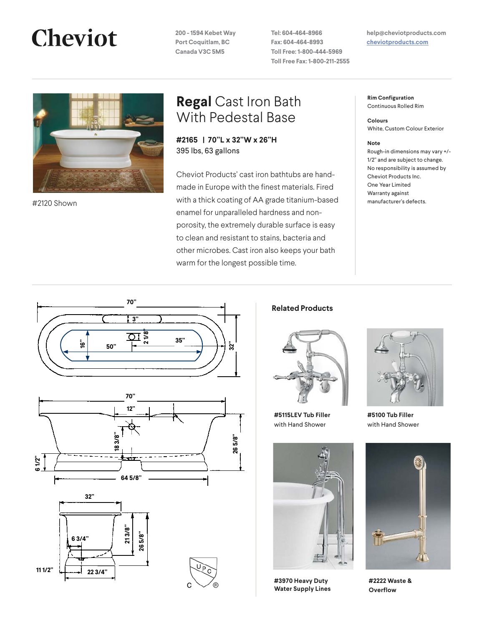**200 - 1594 Kebet Way Port Coquitlam, BC Canada V3C 5M5**

**Tel: 604-464-8966 Fax: 604-464-8993 Toll Free: 1-800-444-5969 Toll Free Fax: 1-800-211-2555** **help@cheviotproducts.com [cheviotproducts.com](http://cheviotproducts.com/)**



## **Regal** Cast Iron Bath With Pedestal Base

**#2165 | 70"L x 32"W x 26"H**  395 lbs, 63 gallons

Cheviot Products' cast iron bathtubs are handmade in Europe with the finest materials. Fired with a thick coating of AA grade titanium-based manufacturer's defects. #2120 Shown enamel for unparalleled hardness and nonporosity, the extremely durable surface is easy to clean and resistant to stains, bacteria and other microbes. Cast iron also keeps your bath warm for the longest possible time.

**Rim Configuration** Continuous Rolled Rim

**Colours** White, Custom Colour Exterior

### **Note**

Rough-in dimensions may vary +/- 1/2" and are subject to change. No responsibility is assumed by Cheviot Products Inc. One Year Limited Warranty against









**Related Products**



**#5115LEV Tub Filler**  with Hand Shower



**#3970 Heavy Duty Water Supply Lines**



**#5100 Tub Filler**  with Hand Shower



**#2222 Waste & Overflow**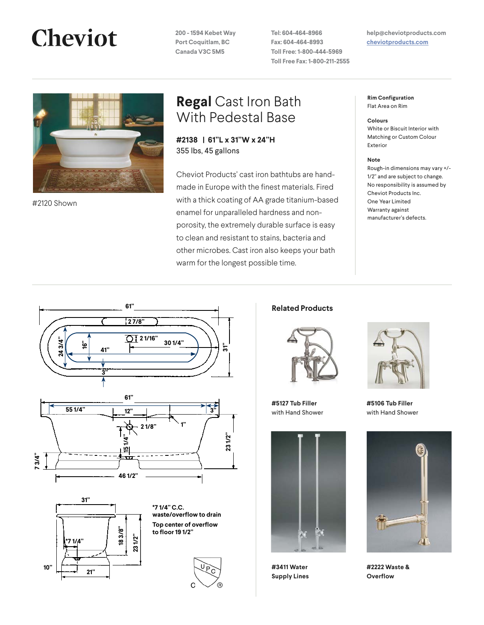**200 - 1594 Kebet Way Port Coquitlam, BC Canada V3C 5M5**

**Tel: 604-464-8966 Fax: 604-464-8993 Toll Free: 1-800-444-5969 Toll Free Fax: 1-800-211-2555** **help@cheviotproducts.com [cheviotproducts.com](http://cheviotproducts.com/)**



**Fired with a thick coating of AA grade titanium-Fired with a thick coating of AA grade titanium-**#2120 Shown

### **Regal** Cast Iron Bath With Pedestal Base

**#2138 | 61"L x 31"W x 24"H**  355 lbs, 45 gallons

Cheviot Products' cast iron bathtubs are handmade in Europe with the finest materials. Fired with a thick coating of AA grade titanium-based enamel for unparalleled hardness and nonporosity, the extremely durable surface is easy to clean and resistant to stains, bacteria and other microbes. Cast iron also keeps your bath warm for the longest possible time.

**Rim Configuration** Flat Area on Rim

#### **Colours**

White or Biscuit Interior with Matching or Custom Colour Exterior

### **Note**

Rough-in dimensions may vary +/- 1/2" and are subject to change. No responsibility is assumed by Cheviot Products Inc. One Year Limited Warranty against manufacturer's defects.







**Top center of overflow Top center of overflow to floor 19 1/2" 18 3/8" to floor 19 1/2" 18 3/8" to floor 19 1/2" Triow to drain** 



**waste/overflow to drain**

### **121 Related Products**



**#5127 Tub Filler**  with Hand Shower



**#3411 Water Supply Lines**

**3411 Water Supply** 



**#5106 Tub Filler**  with Hand Shower



**#2222 Waste & Overflow**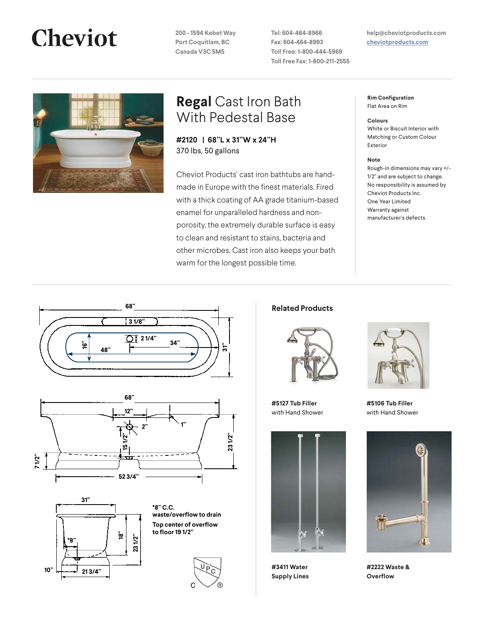**200 - 1594 Kebet Way Port Coquitlam, BC Canada V3C 5M5**

**Tel: 604-464-8966 Fax: 604-464-8993 Toll Free: 1-800-444-5969 Toll Free Fax: 1-800-211-2555** **help@cheviotproducts.com [cheviotproducts.com](http://cheviotproducts.com/)**



## **Regal** Cast Iron Bath With Pedestal Base

**#2120 | 68"L x 31"W x 24"H**  370 lbs, 50 gallons

Cheviot Products' cast iron bathtubs are handmade in Europe with the finest materials. Fired with a thick coating of AA grade titanium-based enamel for unparalleled hardness and nonporosity, the extremely durable surface is easy to clean and resistant to stains, bacteria and other microbes. Cast iron also keeps your bath warm for the longest possible time.

**Rim Configuration** Flat Area on Rim

#### **Colours**

White or Biscuit Interior with Matching or Custom Colour Exterior

### **Note**

Rough-in dimensions may vary +/- 1/2" and are subject to change. No responsibility is assumed by Cheviot Products Inc. One Year Limited Warranty against manufacturer's defects.









### **88 Related Products**



**#5127 Tub Filler**  with Hand Shower



**#3411 Water Supply Lines**

**3411 Water Supply** 



**#5106 Tub Filler**  with Hand Shower



**#2222 Waste & Overflow**